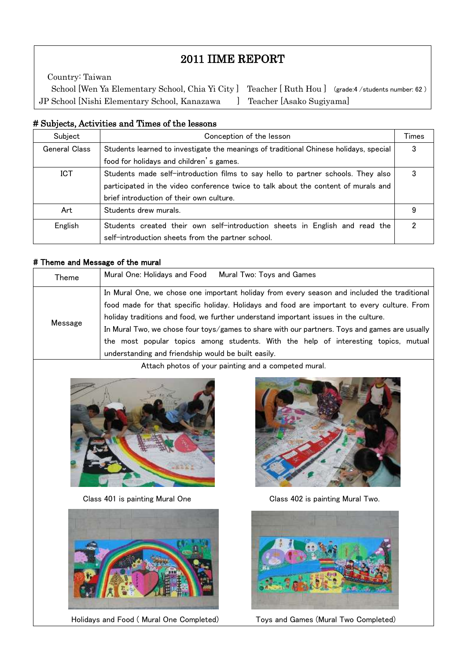# 2011 IIME REPORT

 School [Wen Ya Elementary School, Chia Yi City ] Teacher [ Ruth Hou ] (grade:4 /students number: 62 ) Country: Taiwan JP School [Nishi Elementary School, Kanazawa ] Teacher [Asako Sugiyama]

#### # Subjects, Activities and Times of the lessons

 $\mathsf I$  $\mathsf I$  $\mathsf I$ 

 $\mathsf I$ L

| Subject              | Conception of the lesson                                                              |   |  |  |  |  |  |  |
|----------------------|---------------------------------------------------------------------------------------|---|--|--|--|--|--|--|
| <b>General Class</b> | Students learned to investigate the meanings of traditional Chinese holidays, special |   |  |  |  |  |  |  |
|                      | food for holidays and children's games.                                               |   |  |  |  |  |  |  |
| ICT                  | Students made self-introduction films to say hello to partner schools. They also      |   |  |  |  |  |  |  |
|                      | participated in the video conference twice to talk about the content of murals and    |   |  |  |  |  |  |  |
|                      | brief introduction of their own culture.                                              |   |  |  |  |  |  |  |
| Art                  | Students drew murals.                                                                 | 9 |  |  |  |  |  |  |
| English              | Students created their own self-introduction sheets in English and read the           |   |  |  |  |  |  |  |
|                      | self-introduction sheets from the partner school.                                     |   |  |  |  |  |  |  |

#### # Theme and Message of the mural

| Theme   | Mural One: Holidays and Food<br>Mural Two: Toys and Games                                                                                                                                                                                                                                                                                                                                                                                                                                                                        |
|---------|----------------------------------------------------------------------------------------------------------------------------------------------------------------------------------------------------------------------------------------------------------------------------------------------------------------------------------------------------------------------------------------------------------------------------------------------------------------------------------------------------------------------------------|
| Message | In Mural One, we chose one important holiday from every season and included the traditional<br>food made for that specific holiday. Holidays and food are important to every culture. From<br>holiday traditions and food, we further understand important issues in the culture.<br>In Mural Two, we chose four toys/games to share with our partners. Toys and games are usually<br>the most popular topics among students. With the help of interesting topics, mutual<br>understanding and friendship would be built easily. |

Attach photos of your painting and a competed mural.





Holidays and Food (Mural One Completed) Toys and Games (Mural Two Completed)



Class 401 is painting Mural One Class 402 is painting Mural Two.

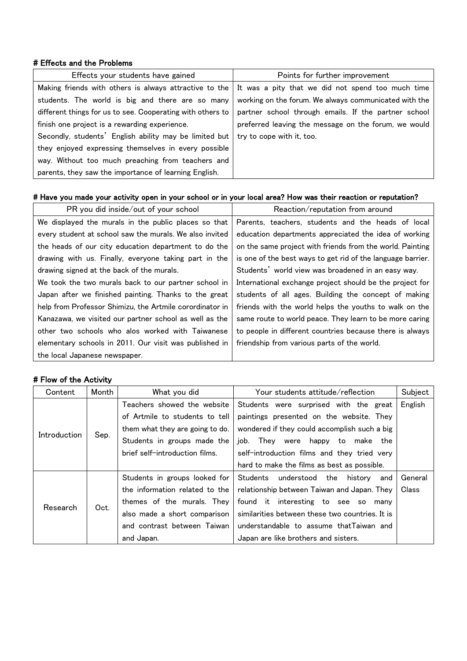#### # Effects and the Problems

| Effects your students have gained                          | Points for further improvement                                                                                   |  |  |
|------------------------------------------------------------|------------------------------------------------------------------------------------------------------------------|--|--|
|                                                            | Making friends with others is always attractive to the $\vert$ It was a pity that we did not spend too much time |  |  |
| students. The world is big and there are so many           | working on the forum. We always communicated with the                                                            |  |  |
| different things for us to see. Cooperating with others to | partner school through emails. If the partner school                                                             |  |  |
| finish one project is a rewarding experience.              | preferred leaving the message on the forum, we would                                                             |  |  |
| Secondly, students' English ability may be limited but     | try to cope with it, too.                                                                                        |  |  |
| they enjoyed expressing themselves in every possible       |                                                                                                                  |  |  |
| way. Without too much preaching from teachers and          |                                                                                                                  |  |  |
| parents, they saw the importance of learning English.      |                                                                                                                  |  |  |

# # Have you made your activity open in your school or in your local area? How was their reaction or reputation?

| PR you did inside/out of your school                     | Reaction/reputation from around                             |  |  |
|----------------------------------------------------------|-------------------------------------------------------------|--|--|
| We displayed the murals in the public places so that     | Parents, teachers, students and the heads of local          |  |  |
| every student at school saw the murals. We also invited  | education departments appreciated the idea of working       |  |  |
| the heads of our city education department to do the     | on the same project with friends from the world. Painting   |  |  |
| drawing with us. Finally, everyone taking part in the    | is one of the best ways to get rid of the language barrier. |  |  |
| drawing signed at the back of the murals.                | Students' world view was broadened in an easy way.          |  |  |
| We took the two murals back to our partner school in     | International exchange project should be the project for    |  |  |
| Japan after we finished painting. Thanks to the great    | students of all ages. Building the concept of making        |  |  |
| help from Professor Shimizu, the Artmile corordinator in | friends with the world helps the youths to walk on the      |  |  |
| Kanazawa, we visited our partner school as well as the   | same route to world peace. They learn to be more caring     |  |  |
| other two schools who alos worked with Taiwanese         | to people in different countries because there is always    |  |  |
| elementary schools in 2011. Our visit was published in   | friendship from various parts of the world.                 |  |  |
| the local Japanese newspaper.                            |                                                             |  |  |

# # Flow of the Activity

| Content      | Month | What you did                    | Your students attitude/reflection               | Subject |
|--------------|-------|---------------------------------|-------------------------------------------------|---------|
| Introduction |       | Teachers showed the website     | Students were surprised with the great          | English |
|              |       | of Artmile to students to tell  | paintings presented on the website. They        |         |
|              | Sep.  | them what they are going to do. | wondered if they could accomplish such a big    |         |
|              |       | Students in groups made the     | job.<br>They were happy to<br>make<br>the       |         |
|              |       | brief self-introduction films.  | self-introduction films and they tried very     |         |
|              |       |                                 | hard to make the films as best as possible.     |         |
| Research     | Oct.  | Students in groups looked for   | Students<br>understood<br>the<br>history<br>and | General |
|              |       | the information related to the  | relationship between Taiwan and Japan. They     | Class   |
|              |       | themes of the murals. They      | found it interesting to see so<br>manv          |         |
|              |       | also made a short comparison    | similarities between these two countries. It is |         |
|              |       | and contrast between Taiwan     | understandable to assume that Taiwan and        |         |
|              |       | and Japan.                      | Japan are like brothers and sisters.            |         |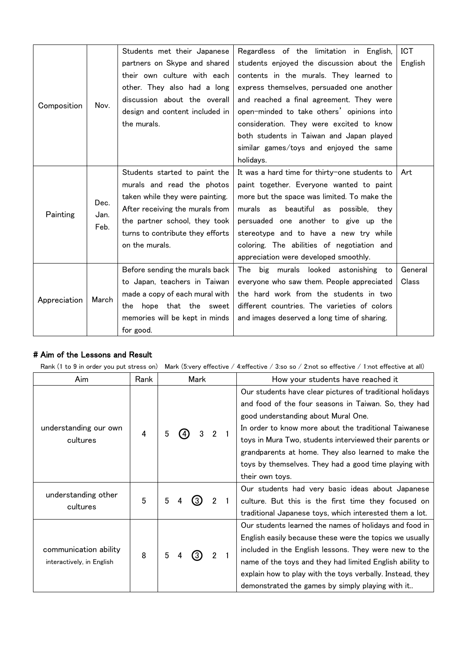|              |                      | Students met their Japanese      | Regardless of the limitation in English,      | ICT     |
|--------------|----------------------|----------------------------------|-----------------------------------------------|---------|
| Composition  |                      | partners on Skype and shared     | students enjoyed the discussion about the     | English |
|              |                      | their own culture with each      | contents in the murals. They learned to       |         |
|              |                      | other. They also had a long      | express themselves, persuaded one another     |         |
|              | Nov.                 | discussion about the overall     | and reached a final agreement. They were      |         |
|              |                      | design and content included in   | open-minded to take others' opinions into     |         |
|              |                      | the murals.                      | consideration. They were excited to know      |         |
|              |                      |                                  | both students in Taiwan and Japan played      |         |
|              |                      |                                  | similar games/toys and enjoyed the same       |         |
|              |                      |                                  | holidays.                                     |         |
|              |                      | Students started to paint the    | It was a hard time for thirty-one students to | Art     |
|              |                      | murals and read the photos       | paint together. Everyone wanted to paint      |         |
|              | Dec.<br>Jan.<br>Feb. | taken while they were painting.  | more but the space was limited. To make the   |         |
| Painting     |                      | After receiving the murals from  | murals as beautiful as possible, they         |         |
|              |                      | the partner school, they took    | persuaded one another to give up the          |         |
|              |                      | turns to contribute they efforts | stereotype and to have a new try while        |         |
|              |                      | on the murals.                   | coloring. The abilities of negotiation and    |         |
|              |                      |                                  | appreciation were developed smoothly.         |         |
|              |                      | Before sending the murals back   | The big murals looked astonishing to          | General |
|              |                      | to Japan, teachers in Taiwan     | everyone who saw them. People appreciated     | Class   |
| Appreciation | March                | made a copy of each mural with   | the hard work from the students in two        |         |
|              |                      | hope that the sweet<br>the       | different countries. The varieties of colors  |         |
|              |                      | memories will be kept in minds   | and images deserved a long time of sharing.   |         |
|              |                      | for good.                        |                                               |         |

### # Aim of the Lessons and Result

Rank (1 to 9 in order you put stress on) Mark (5:very effective / 4:effective / 3:so so / 2:not so effective / 1:not effective at all)

| Aim                       | Rank | Mark |     |   | How your students have reached it |                 |                                                           |
|---------------------------|------|------|-----|---|-----------------------------------|-----------------|-----------------------------------------------------------|
|                           |      |      |     |   |                                   |                 | Our students have clear pictures of traditional holidays  |
|                           |      |      |     |   |                                   |                 | and food of the four seasons in Taiwan. So, they had      |
|                           |      |      |     |   |                                   |                 | good understanding about Mural One.                       |
| understanding our own     | 4    | 5    |     | 3 | $2^{\circ}$                       |                 | In order to know more about the traditional Taiwanese     |
| cultures                  |      |      | (4) |   |                                   |                 | toys in Mura Two, students interviewed their parents or   |
|                           |      |      |     |   |                                   |                 | grandparents at home. They also learned to make the       |
|                           |      |      |     |   |                                   |                 | toys by themselves. They had a good time playing with     |
|                           |      |      |     |   |                                   | their own toys. |                                                           |
| understanding other       |      |      | 4   |   |                                   |                 | Our students had very basic ideas about Japanese          |
| cultures                  | 5    | 5    |     |   | $2^{\circ}$                       |                 | culture. But this is the first time they focused on       |
|                           |      |      |     |   |                                   |                 | traditional Japanese toys, which interested them a lot.   |
|                           | 8    | 5    | 4   |   |                                   |                 | Our students learned the names of holidays and food in    |
|                           |      |      |     |   |                                   |                 | English easily because these were the topics we usually   |
| communication ability     |      |      |     |   |                                   |                 | included in the English lessons. They were new to the     |
| interactively, in English |      |      |     |   |                                   |                 | name of the toys and they had limited English ability to  |
|                           |      |      |     |   |                                   |                 | explain how to play with the toys verbally. Instead, they |
|                           |      |      |     |   |                                   |                 | demonstrated the games by simply playing with it          |